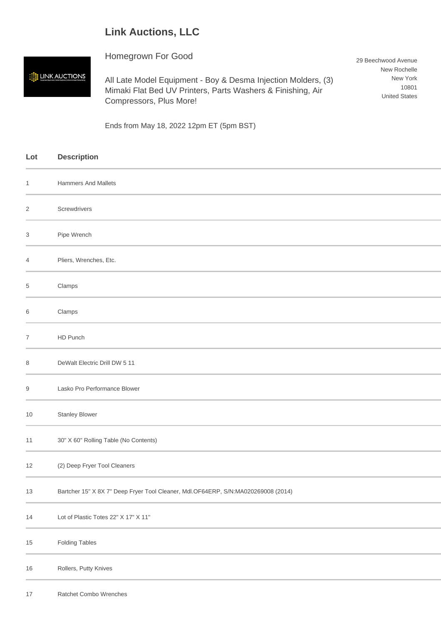## **Link Auctions, LLC**

## Homegrown For Good

**EN LINK AUCTIONS** 

All Late Model Equipment - Boy & Desma Injection Molders, (3) Mimaki Flat Bed UV Printers, Parts Washers & Finishing, Air Compressors, Plus More!

29 Beechwood Avenue New Rochelle New York 10801 United States

Ends from May 18, 2022 12pm ET (5pm BST)

| Lot            | <b>Description</b>                                                                |
|----------------|-----------------------------------------------------------------------------------|
| $\mathbf{1}$   | <b>Hammers And Mallets</b>                                                        |
| $\overline{c}$ | Screwdrivers                                                                      |
| 3              | Pipe Wrench                                                                       |
| 4              | Pliers, Wrenches, Etc.                                                            |
| $\,$ 5 $\,$    | Clamps                                                                            |
| 6              | Clamps                                                                            |
| $\overline{7}$ | HD Punch                                                                          |
| 8              | DeWalt Electric Drill DW 5 11                                                     |
| 9              | Lasko Pro Performance Blower                                                      |
| 10             | <b>Stanley Blower</b>                                                             |
| 11             | 30" X 60" Rolling Table (No Contents)                                             |
| 12             | (2) Deep Fryer Tool Cleaners                                                      |
| $13$           | Bartcher 15" X 8X 7" Deep Fryer Tool Cleaner, Mdl.OF64ERP, S/N:MA020269008 (2014) |
| 14             | Lot of Plastic Totes 22" X 17" X 11"                                              |
| 15             | <b>Folding Tables</b>                                                             |
| $16$           | Rollers, Putty Knives                                                             |
| 17             | Ratchet Combo Wrenches                                                            |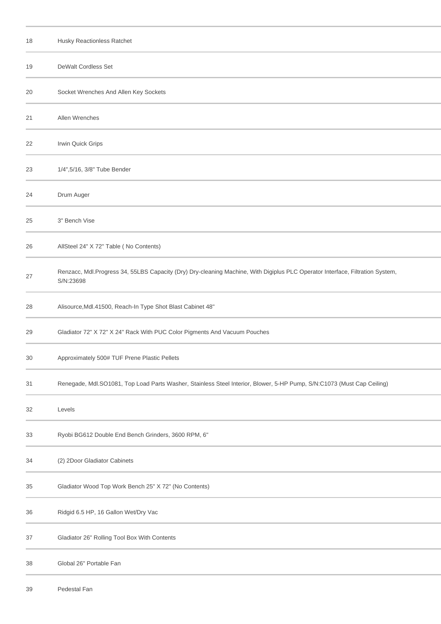| 18 | Husky Reactionless Ratchet                                                                                                                 |
|----|--------------------------------------------------------------------------------------------------------------------------------------------|
| 19 | DeWalt Cordless Set                                                                                                                        |
| 20 | Socket Wrenches And Allen Key Sockets                                                                                                      |
| 21 | Allen Wrenches                                                                                                                             |
| 22 | Irwin Quick Grips                                                                                                                          |
| 23 | 1/4",5/16, 3/8" Tube Bender                                                                                                                |
| 24 | Drum Auger                                                                                                                                 |
| 25 | 3" Bench Vise                                                                                                                              |
| 26 | AllSteel 24" X 72" Table (No Contents)                                                                                                     |
| 27 | Renzacc, Mdl.Progress 34, 55LBS Capacity (Dry) Dry-cleaning Machine, With Digiplus PLC Operator Interface, Filtration System,<br>S/N:23698 |
| 28 | Alisource, Mdl. 41500, Reach-In Type Shot Blast Cabinet 48"                                                                                |
| 29 | Gladiator 72" X 72" X 24" Rack With PUC Color Pigments And Vacuum Pouches                                                                  |
| 30 | Approximately 500# TUF Prene Plastic Pellets                                                                                               |
| 31 | Renegade, Mdl.SO1081, Top Load Parts Washer, Stainless Steel Interior, Blower, 5-HP Pump, S/N:C1073 (Must Cap Ceiling)                     |
| 32 | Levels                                                                                                                                     |
| 33 | Ryobi BG612 Double End Bench Grinders, 3600 RPM, 6"                                                                                        |
| 34 | (2) 2Door Gladiator Cabinets                                                                                                               |
| 35 | Gladiator Wood Top Work Bench 25" X 72" (No Contents)                                                                                      |
| 36 | Ridgid 6.5 HP, 16 Gallon Wet/Dry Vac                                                                                                       |
| 37 | Gladiator 26" Rolling Tool Box With Contents                                                                                               |
| 38 | Global 26" Portable Fan                                                                                                                    |
| 39 | Pedestal Fan                                                                                                                               |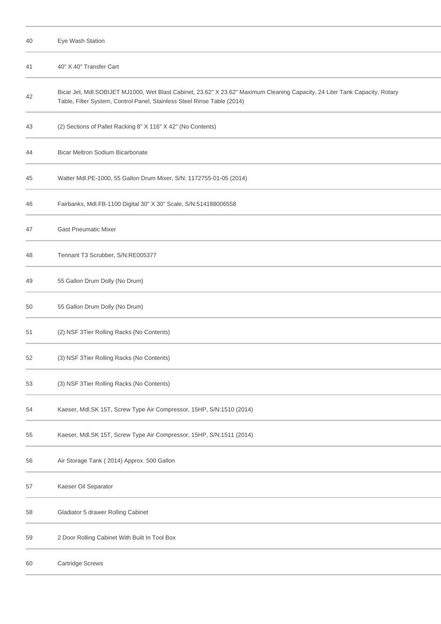| 40 | Eye Wash Station                                                                                                                                                                                       |
|----|--------------------------------------------------------------------------------------------------------------------------------------------------------------------------------------------------------|
| 41 | 40" X 40" Transfer Cart                                                                                                                                                                                |
| 42 | Bicar Jet, Mdl.SOBIJET MJ1000, Wet Blast Cabinet, 23.62" X 23.62" Maximum Cleaning Capacity, 24 Liter Tank Capacity, Rotary<br>Table, Filter System, Control Panel, Stainless Steel Rinse Table (2014) |
| 43 | (2) Sections of Pallet Racking 8" X 116" X 42" (No Contents)                                                                                                                                           |
| 44 | Bicar Meltron Sodium Bicarbonate                                                                                                                                                                       |
| 45 | Walter Mdl.PE-1000, 55 Gallon Drum Mixer, S/N: 1172755-01-05 (2014)                                                                                                                                    |
| 46 | Fairbanks, Mdl.FB-1100 Digital 30" X 30" Scale, S/N:514188006558                                                                                                                                       |
| 47 | <b>Gast Pneumatic Mixer</b>                                                                                                                                                                            |
| 48 | Tennant T3 Scrubber, S/N:RE005377                                                                                                                                                                      |
| 49 | 55 Gallon Drum Dolly (No Drum)                                                                                                                                                                         |
| 50 | 55 Gallon Drum Dolly (No Drum)                                                                                                                                                                         |
| 51 | (2) NSF 3Tier Rolling Racks (No Contents)                                                                                                                                                              |
| 52 | (3) NSF 3Tier Rolling Racks (No Contents)                                                                                                                                                              |
| 53 | (3) NSF 3Tier Rolling Racks (No Contents)                                                                                                                                                              |
| 54 | Kaeser, Mdl.SK 15T, Screw Type Air Compressor, 15HP, S/N:1510 (2014)                                                                                                                                   |
| 55 | Kaeser, Mdl.SK 15T, Screw Type Air Compressor, 15HP, S/N:1511 (2014)                                                                                                                                   |
| 56 | Air Storage Tank (2014) Approx. 500 Gallon                                                                                                                                                             |
| 57 | Kaeser Oil Separator                                                                                                                                                                                   |
| 58 | Gladiator 5 drawer Rolling Cabinet                                                                                                                                                                     |
| 59 | 2 Door Rolling Cabinet With Built In Tool Box                                                                                                                                                          |
| 60 | Cartridge Screws                                                                                                                                                                                       |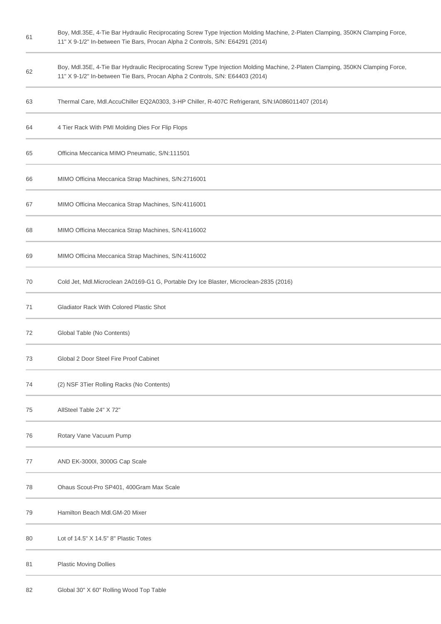Boy, Mdl.35E, 4-Tie Bar Hydraulic Reciprocating Screw Type Injection Molding Machine, 2-Platen Clamping, 350KN Clamping Force, 11" X 9-1/2" In-between Tie Bars, Procan Alpha 2 Controls, S/N: E64291 (2014)

- Boy, Mdl.35E, 4-Tie Bar Hydraulic Reciprocating Screw Type Injection Molding Machine, 2-Platen Clamping, 350KN Clamping Force, 11" X 9-1/2" In-between Tie Bars, Procan Alpha 2 Controls, S/N: E64403 (2014)
- Thermal Care, Mdl.AccuChiller EQ2A0303, 3-HP Chiller, R-407C Refrigerant, S/N:IA086011407 (2014)
- 4 Tier Rack With PMI Molding Dies For Flip Flops
- Officina Meccanica MIMO Pneumatic, S/N:111501
- MIMO Officina Meccanica Strap Machines, S/N:2716001
- MIMO Officina Meccanica Strap Machines, S/N:4116001
- MIMO Officina Meccanica Strap Machines, S/N:4116002
- MIMO Officina Meccanica Strap Machines, S/N:4116002
- Cold Jet, Mdl.Microclean 2A0169-G1 G, Portable Dry Ice Blaster, Microclean-2835 (2016)
- Gladiator Rack With Colored Plastic Shot
- Global Table (No Contents)
- Global 2 Door Steel Fire Proof Cabinet
- (2) NSF 3Tier Rolling Racks (No Contents)
- AllSteel Table 24" X 72"
- Rotary Vane Vacuum Pump
- AND EK-3000I, 3000G Cap Scale
- Ohaus Scout-Pro SP401, 400Gram Max Scale
- Hamilton Beach Mdl.GM-20 Mixer
- Lot of 14.5" X 14.5" 8" Plastic Totes
- Plastic Moving Dollies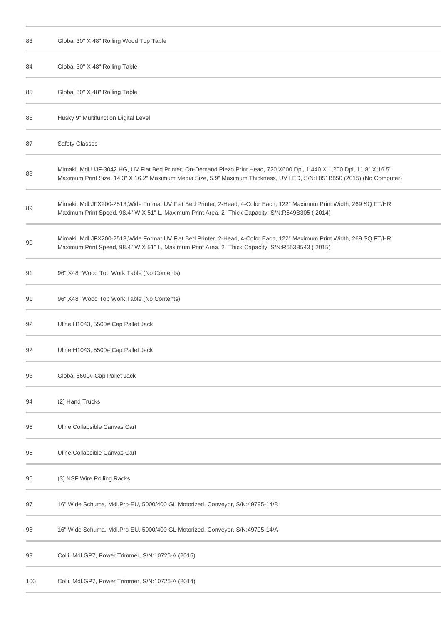| 83  | Global 30" X 48" Rolling Wood Top Table                                                                                                                                                                                                             |
|-----|-----------------------------------------------------------------------------------------------------------------------------------------------------------------------------------------------------------------------------------------------------|
| 84  | Global 30" X 48" Rolling Table                                                                                                                                                                                                                      |
| 85  | Global 30" X 48" Rolling Table                                                                                                                                                                                                                      |
| 86  | Husky 9" Multifunction Digital Level                                                                                                                                                                                                                |
| 87  | <b>Safety Glasses</b>                                                                                                                                                                                                                               |
| 88  | Mimaki, Mdl.UJF-3042 HG, UV Flat Bed Printer, On-Demand Piezo Print Head, 720 X600 Dpi, 1,440 X 1,200 Dpi, 11.8" X 16.5"<br>Maximum Print Size, 14.3" X 16.2" Maximum Media Size, 5.9" Maximum Thickness, UV LED, S/N:L851B850 (2015) (No Computer) |
| 89  | Mimaki, Mdl.JFX200-2513, Wide Format UV Flat Bed Printer, 2-Head, 4-Color Each, 122" Maximum Print Width, 269 SQ FT/HR<br>Maximum Print Speed, 98.4" W X 51" L, Maximum Print Area, 2" Thick Capacity, S/N:R649B305 (2014)                          |
| 90  | Mimaki, Mdl.JFX200-2513, Wide Format UV Flat Bed Printer, 2-Head, 4-Color Each, 122" Maximum Print Width, 269 SQ FT/HR<br>Maximum Print Speed, 98.4" W X 51" L, Maximum Print Area, 2" Thick Capacity, S/N:R653B543 (2015)                          |
| 91  | 96" X48" Wood Top Work Table (No Contents)                                                                                                                                                                                                          |
| 91  | 96" X48" Wood Top Work Table (No Contents)                                                                                                                                                                                                          |
| 92  | Uline H1043, 5500# Cap Pallet Jack                                                                                                                                                                                                                  |
| 92  | Uline H1043, 5500# Cap Pallet Jack                                                                                                                                                                                                                  |
| 93  | Global 6600# Cap Pallet Jack                                                                                                                                                                                                                        |
| 94  | (2) Hand Trucks                                                                                                                                                                                                                                     |
| 95  | Uline Collapsible Canvas Cart                                                                                                                                                                                                                       |
| 95  | Uline Collapsible Canvas Cart                                                                                                                                                                                                                       |
| 96  | (3) NSF Wire Rolling Racks                                                                                                                                                                                                                          |
| 97  | 16" Wide Schuma, Mdl.Pro-EU, 5000/400 GL Motorized, Conveyor, S/N:49795-14/B                                                                                                                                                                        |
| 98  | 16" Wide Schuma, Mdl.Pro-EU, 5000/400 GL Motorized, Conveyor, S/N:49795-14/A                                                                                                                                                                        |
| 99  | Colli, Mdl.GP7, Power Trimmer, S/N:10726-A (2015)                                                                                                                                                                                                   |
| 100 | Colli, Mdl.GP7, Power Trimmer, S/N:10726-A (2014)                                                                                                                                                                                                   |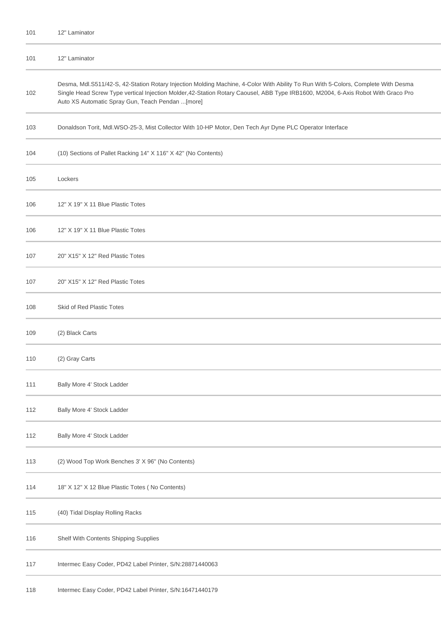| 101 | 12" Laminator                                                                                                                                                                                                                                                                                                              |
|-----|----------------------------------------------------------------------------------------------------------------------------------------------------------------------------------------------------------------------------------------------------------------------------------------------------------------------------|
| 101 | 12" Laminator                                                                                                                                                                                                                                                                                                              |
| 102 | Desma, Mdl.S511/42-S, 42-Station Rotary Injection Molding Machine, 4-Color With Ability To Run With 5-Colors, Complete With Desma<br>Single Head Screw Type vertical Injection Molder,42-Station Rotary Caousel, ABB Type IRB1600, M2004, 6-Axis Robot With Graco Pro<br>Auto XS Automatic Spray Gun, Teach Pendan  [more] |
| 103 | Donaldson Torit, Mdl.WSO-25-3, Mist Collector With 10-HP Motor, Den Tech Ayr Dyne PLC Operator Interface                                                                                                                                                                                                                   |
| 104 | (10) Sections of Pallet Racking 14" X 116" X 42" (No Contents)                                                                                                                                                                                                                                                             |
| 105 | Lockers                                                                                                                                                                                                                                                                                                                    |
| 106 | 12" X 19" X 11 Blue Plastic Totes                                                                                                                                                                                                                                                                                          |
| 106 | 12" X 19" X 11 Blue Plastic Totes                                                                                                                                                                                                                                                                                          |
| 107 | 20" X15" X 12" Red Plastic Totes                                                                                                                                                                                                                                                                                           |
| 107 | 20" X15" X 12" Red Plastic Totes                                                                                                                                                                                                                                                                                           |
| 108 | Skid of Red Plastic Totes                                                                                                                                                                                                                                                                                                  |
| 109 | (2) Black Carts                                                                                                                                                                                                                                                                                                            |
| 110 | (2) Gray Carts                                                                                                                                                                                                                                                                                                             |
| 111 | Bally More 4' Stock Ladder                                                                                                                                                                                                                                                                                                 |
| 112 | Bally More 4' Stock Ladder                                                                                                                                                                                                                                                                                                 |
| 112 | Bally More 4' Stock Ladder                                                                                                                                                                                                                                                                                                 |
| 113 | (2) Wood Top Work Benches 3' X 96" (No Contents)                                                                                                                                                                                                                                                                           |
| 114 | 18" X 12" X 12 Blue Plastic Totes (No Contents)                                                                                                                                                                                                                                                                            |
| 115 | (40) Tidal Display Rolling Racks                                                                                                                                                                                                                                                                                           |
| 116 | Shelf With Contents Shipping Supplies                                                                                                                                                                                                                                                                                      |
| 117 | Intermec Easy Coder, PD42 Label Printer, S/N:28871440063                                                                                                                                                                                                                                                                   |
|     |                                                                                                                                                                                                                                                                                                                            |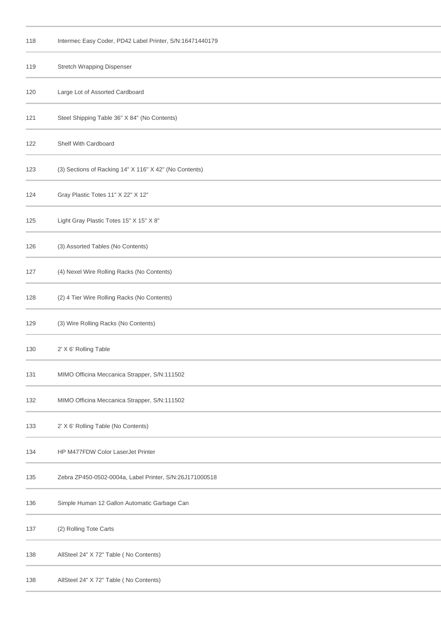| 118 | Intermec Easy Coder, PD42 Label Printer, S/N:16471440179 |
|-----|----------------------------------------------------------|
| 119 | Stretch Wrapping Dispenser                               |
| 120 | Large Lot of Assorted Cardboard                          |
| 121 | Steel Shipping Table 36" X 84" (No Contents)             |
| 122 | Shelf With Cardboard                                     |
| 123 | (3) Sections of Racking 14" X 116" X 42" (No Contents)   |
| 124 | Gray Plastic Totes 11" X 22" X 12"                       |
| 125 | Light Gray Plastic Totes 15" X 15" X 8"                  |
| 126 | (3) Assorted Tables (No Contents)                        |
| 127 | (4) Nexel Wire Rolling Racks (No Contents)               |
| 128 | (2) 4 Tier Wire Rolling Racks (No Contents)              |
| 129 | (3) Wire Rolling Racks (No Contents)                     |
| 130 | 2' X 6' Rolling Table                                    |
| 131 | MIMO Officina Meccanica Strapper, S/N:111502             |
| 132 | MIMO Officina Meccanica Strapper, S/N:111502             |
| 133 | 2' X 6' Rolling Table (No Contents)                      |
| 134 | HP M477FDW Color LaserJet Printer                        |
| 135 | Zebra ZP450-0502-0004a, Label Printer, S/N:26J171000518  |
| 136 | Simple Human 12 Gallon Automatic Garbage Can             |
| 137 | (2) Rolling Tote Carts                                   |
| 138 | AllSteel 24" X 72" Table (No Contents)                   |
| 138 | AllSteel 24" X 72" Table (No Contents)                   |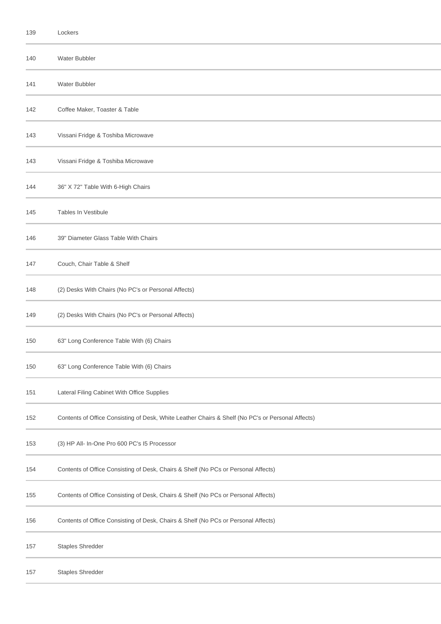| 139 | Lockers                                                                                           |
|-----|---------------------------------------------------------------------------------------------------|
| 140 | Water Bubbler                                                                                     |
| 141 | Water Bubbler                                                                                     |
| 142 | Coffee Maker, Toaster & Table                                                                     |
| 143 | Vissani Fridge & Toshiba Microwave                                                                |
| 143 | Vissani Fridge & Toshiba Microwave                                                                |
| 144 | 36" X 72" Table With 6-High Chairs                                                                |
| 145 | <b>Tables In Vestibule</b>                                                                        |
| 146 | 39" Diameter Glass Table With Chairs                                                              |
| 147 | Couch, Chair Table & Shelf                                                                        |
| 148 | (2) Desks With Chairs (No PC's or Personal Affects)                                               |
| 149 | (2) Desks With Chairs (No PC's or Personal Affects)                                               |
| 150 | 63" Long Conference Table With (6) Chairs                                                         |
| 150 | 63" Long Conference Table With (6) Chairs                                                         |
| 151 | Lateral Filing Cabinet With Office Supplies                                                       |
| 152 | Contents of Office Consisting of Desk, White Leather Chairs & Shelf (No PC's or Personal Affects) |
| 153 | (3) HP All- In-One Pro 600 PC's I5 Processor                                                      |
| 154 | Contents of Office Consisting of Desk, Chairs & Shelf (No PCs or Personal Affects)                |
| 155 | Contents of Office Consisting of Desk, Chairs & Shelf (No PCs or Personal Affects)                |
| 156 | Contents of Office Consisting of Desk, Chairs & Shelf (No PCs or Personal Affects)                |
| 157 | Staples Shredder                                                                                  |
| 157 | Staples Shredder                                                                                  |